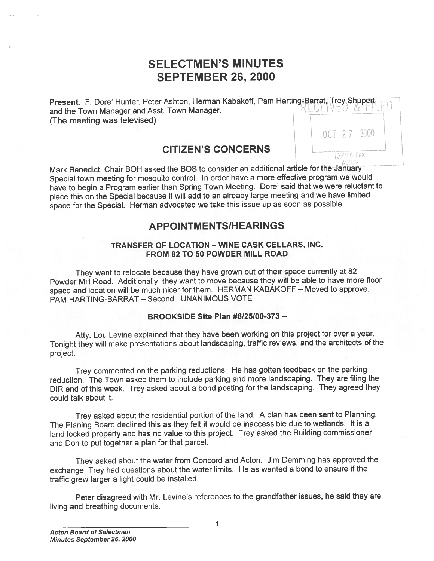# SELECTMEN'S MINUTES SEPTEMBER 26, 2000

**Present: F. Dore' Hunter, Peter Ashton, Herman Kabakoff, Pam Harting-Barrat, Trey Shupert**<br>and the Town Manager and Asst. Town Manager. and the Town Manager and Asst. Town Manager. (The meeting was televised)

OCT 27 2000

# CITIZEN'S CONCERNS

Mark Benedict, Chair BOH asked the BOS to consider an additional article for the January Special town meeting for mosquito control. In order have <sup>a</sup> more effective program we would have to begin <sup>a</sup> Program earlier than Spring Town Meeting. Dore' said that we were reluctant to <sup>p</sup>lace this on the Special because it will add to an already large meeting and we have limited space for the Special. Herman advocated we take this issue up as soon as possible. SELEC<br>
SEPT<br>
SEPT<br>
Present: F. Dore' Hunter, Peter Ashto<br>
and the Town Manager and Asst. Town<br>
(The meeting was televised)<br>
CITIZ<br>
Mark Benedict, Chair BOH asked the E<br>
Special town meeting for mosquito con<br>
have to begin

# APPOINTMENTS/HEARINGS

## TRANSFER OF LOCATION — WINE CASK CELLARS, INC. FROM 82 TO 50 POWDER MILL ROAD

They want to relocate because they have grown out of their space currently at <sup>82</sup> Powder Mill Road. Additionally, they want to move because they will be able to have more floor space and location will be much nicer for them. HERMAN KABAKOFF — Moved to approve. PAM HARTING-BARRAT — Second. UNANIMOUS VOTE

## BROOKSIDE Site Plan #8125100-373 —

Atty. Lou Levine explained that they have been working on this project for over <sup>a</sup> year. Tonight they will make presentations about landscaping, traffic reviews, and the architects of the project.

Trey commented on the parking reductions. He has gotten feedback on the parking reduction. The Town asked them to include parking and more landscaping. They are filing the DIR end of this week. Trey asked about <sup>a</sup> bond posting for the landscaping. They agree<sup>d</sup> they could talk about it.

Trey asked about the residential portion of the land. <sup>A</sup> <sup>p</sup>lan has been sent to Planning. The Planing Board declined this as they felt it would be inaccessible due to wetlands, It is <sup>a</sup> land locked property and has no value to this project. Trey asked the Building commissioner and Don to pu<sup>t</sup> together <sup>a</sup> <sup>p</sup>lan for that parcel.

They asked about the water from Concord and Acton. Jim Demming has approve<sup>d</sup> the exchange; Trey had questions about the water limits. He as wanted <sup>a</sup> bond to ensure if the traffic grew larger <sup>a</sup> light could be installed.

Peter disagreed with Mr. Levine's references to the grandfather issues, he said they are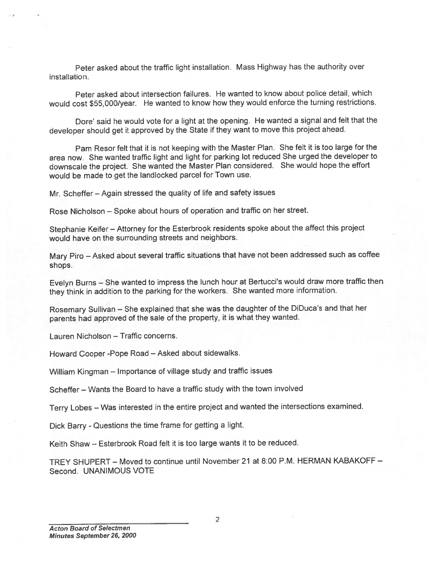Peter asked about the traffic light installation. Mass Highway has the authority over installation.

Peter asked about intersection failures. He wanted to know about police detail, which would cost \$55,000/year. He wanted to know how they would enforce the turning restrictions.

Dore' said he would vote for <sup>a</sup> light at the opening. He wanted <sup>a</sup> signal and felt that the developer should ge<sup>t</sup> it approve<sup>d</sup> by the State if they want to move this project ahead.

Pam Resor felt that it is not keeping with the Master Plan. She felt it is too large for the area now. She wanted traffic light and light for parking lot reduced She urge<sup>d</sup> the developer to downscale the project. She wanted the Master Plan considered. She would hope the effort would be made to ge<sup>t</sup> the landlocked parcel for Town use.

Mr. Scheffer — Again stressed the quality of life and safety issues

Rose Nicholson — Spoke about hours of operation and traffic on her street.

Stephanie Keifer — Attorney for the Esterbrook residents spoke about the affect this project would have on the surrounding streets and neighbors.

Mary Piro — Asked about several traffic situations that have not been addressed such as coffee shops.

Evelyn Burns — She wanted to impress the lunch hour at Bertucci's would draw more traffic then they think in addition to the parking for the workers. She wanted more information.

Rosemary Sullivan — She explained that she was the daughter of the DiDuca's and that her parents had approve<sup>d</sup> of the sale of the property, it is what they wanted.

Lauren Nicholson — Traffic concerns.

Howard Cooper -Pope Road — Asked about sidewalks.

William Kingman — Importance of village study and traffic issues

Scheffer — Wants the Board to have <sup>a</sup> traffic study with the town involved

Terry Lobes — Was interested in the entire project and wanted the intersections examined.

Dick Barry - Questions the time frame for getting <sup>a</sup> light.

Keith Shaw — Esterbrook Road felt it is too large wants it to be reduced.

TREY SHUPERT — Moved to continue until November 21 at 8:00 P.M. HERMAN KABAKOFF — Second. UNANIMOUS VOTE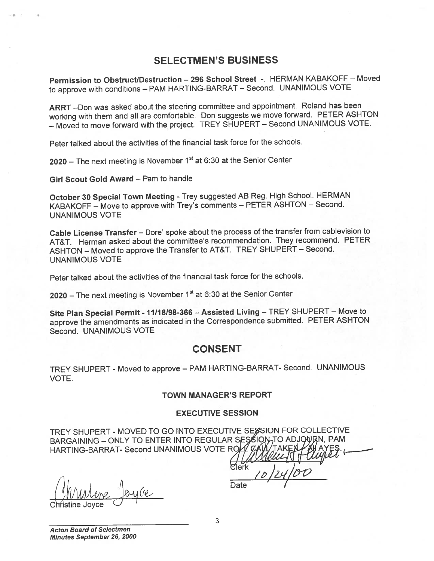## SELECTMEN'S BUSINESS

Permission to Obstruct/Destruction — <sup>296</sup> School Street -. HERMAN KABAKOFF — Moved to approve with conditions — PAM HARTING-BARRAT — Second. UNANIMOUS VOTE

ARRT —Don was asked about the steering committee and appointment. Roland has been working with them and all are comfortable. Don suggests we move forward. PETER ASHTON — Moved to move forward with the project. TREY SHUPERT — Second UNANIMOUS VOTE.

Peter talked about the activities of the financial task force for the schools.

2020 – The next meeting is November  $1<sup>st</sup>$  at 6:30 at the Senior Center

Girl Scout Gold Award — Pam to handle

October 30 Special Town Meeting - Trey suggested AB Reg. High School. HERMAN KABAKOFF — Move to approve with Trey's comments — PETER ASHTON — Second. UNANIMOUS VOTE

Cable License Transfer — Dore' spoke about the process of the transfer from cablevision to AT&T. Herman asked about the committee's recommendation. They recommend. PETER ASHTON — Moved to approve the Transfer to AT&T. TREY SHUPERT — Second. UNANIMOUS VOTE

Peter talked about the activities of the financial task force for the schools.

2020 – The next meeting is November  $1<sup>st</sup>$  at 6:30 at the Senior Center

Site Plan Special Permit - 11118198-366 — Assisted Living — TREY SHUPERT — Move to approve the amendments as indicated in the Correspondence submitted. PETER ASHTON Second. UNANIMOUS VOTE

## CONSENT

TREY SHUPERT - Moved to approve — PAM HARTING-BARRAT- Second. UNANIMOUS VOTE.

#### TOWN MANAGER'S REPORT

#### EXECUTIVE SESSION

TREY SHUPERT - MOVED TO GO INTO EXECUTIVE SESSION FOR COLLECTIVE BARGAINING - ONLY TO ENTER INTO REGULAR SESSION TO ADJOURN, PAM HARTING-BARRAT- Second UNANIMOUS VOTE ROZ

Blerk 10/24/1<br>Christine Joyce Joyce

Acton Board of Selectmen Minutes September 26, 2000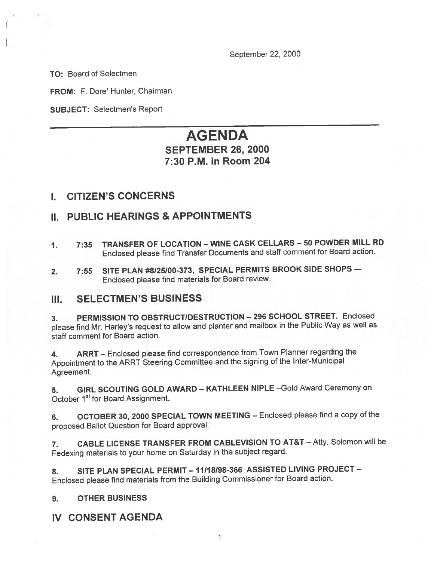September 22, 2000

TO: Board of Selectmen

FROM: F. Dore' Hunter, Chairman

SUBJECT: Selectmen's Report

# AGENDA SEPTEMBER 26, 2000 7:30 PM. in Room 204

## I. CITIZEN'S CONCERNS

# II. PUBLIC HEARINGS & APPOINTMENTS

- 1. 7:35 TRANSFER OF LOCATION WINE CASK CELLARS —50 POWDER MILL RD Enclosed <sup>p</sup>lease find Transfer Documents and staff comment for Board action.
- 2. 7:55 SITE PLAN #8125/00-373, SPECIAL PERMITS BROOK SIDE SHOPS Enclosed <sup>p</sup>lease find materials for Board review.

## III. SELECTMEN'S BUSINESS

3. PERMISSION TO OBSTRUCT/DESTRUCTION — <sup>296</sup> SCHOOL STREET. Enclosed <sup>p</sup>lease find Mr. Harley's reques<sup>t</sup> to allow and <sup>p</sup>lanter and mailbox in the Public Way as well as staff comment for Board action.

4. ARRT — Enclosed <sup>p</sup>lease find correspondence from Town Planner regarding the Appointment to the ARRT Steering Committee and the signing of the Inter-Municipal Agreement.

5. GIRL SCOUTING GOLD AWARD — KATHLEEN NIPLE —Gold Award Ceremony on October 1<sup>st</sup> for Board Assignment.

6. OCTOBER 30, <sup>2000</sup> SPECIAL TOWN MEETING — Enclosed <sup>p</sup>lease find <sup>a</sup> copy of the propose<sup>d</sup> Ballot Question for Board approval.

7. CABLE LICENSE TRANSFER FROM CABLEVISION TO AT&T — Atty. Solomon will be Fedexing materials to your home on Saturday in the subject regard.

8. SITE PLAN SPECIAL PERMIT - 11/18/98-366 ASSISTED LIVING PROJECT -Enclosed <sup>p</sup>lease find materials from the Building Commissioner for Board action.

#### 9. OTHER BUSINESS

## IV CONSENT AGENDA

1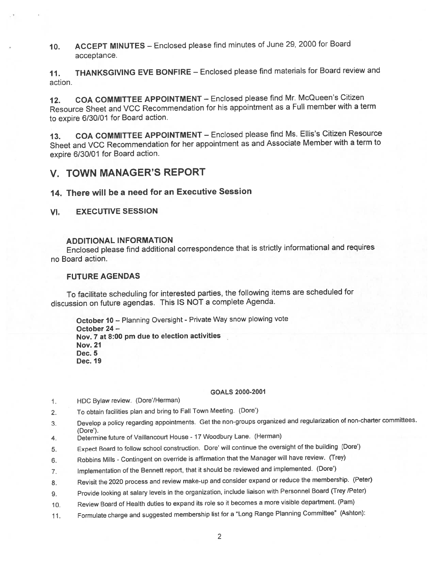10. ACCEPT MINUTES — Enclosed <sup>p</sup>lease find minutes of June 29, <sup>2000</sup> for Board acceptance.

11. THANKSGIVING EVE BONFIRE — Enclosed <sup>p</sup>lease find materials for Board review and action.

12. COA COMMITTEE APPOINTMENT — Enclosed <sup>p</sup>lease find Mr. McQueen's Citizen Resource Sheet and VCC Recommendation for his appointment as <sup>a</sup> Full member with <sup>a</sup> term to expire 6/30/01 for Board action.

13. COA COMMITTEE APPOINTMENT — Enclosed <sup>p</sup>lease find Ms. Ellis's Citizen Resource Sheet and VCC Recommendation for her appointment as and Associate Member with <sup>a</sup> term to expire 6/30/01 for Board action.

## V. TOWN MANAGER'S REPORT

## 14. There will be <sup>a</sup> need for an Executive Session

### VI. EXECUTIVE SESSION

### ADDITIONAL INFORMATION

Enclosed <sup>p</sup>lease find additional correspondence that is strictly informational and requires no Board action.

#### FUTURE AGENDAS

To facilitate scheduling for interested parties, the following items are scheduled for discussion on future agendas. This IS NOT <sup>a</sup> complete Agenda.

October 10 - Planning Oversight - Private Way snow plowing vote October 24 — Nov. <sup>7</sup> at 8:00 pm due to election activities Nov. 21 Dec. 5 Dec. 19

#### GOALS 2000-2001

- 1. HDC Bylaw review. (Dote/Herman)
- 2. To obtain facilities plan and bring to Fall Town Meeting. (Dore')
- 3. Develop <sup>a</sup> policy regarding appointments. Get the non-groups organized and regularization of non-charter committees. (Dote').
- 4. Determine future of Vaillancourt House <sup>17</sup> Woodbury Lane. (Herman)
- 5. Expect Board to follow school construction. Dote' will continue the oversight of the building (Dote')
- 6. Robbins Mills Contingent on override is affirmation that the Manager will have review. (Trey)
- 7. Implementation of the Bennett report, that it should be reviewed and implemented. (Dote')
- 8. Revisit the 2020 process and review make-up and consider expand or reduce the membership. (Peter)
- 9. Provide looking at salary levels in the organization, include liaison with Personnel Board (Trey /Peter)
- 10. Review Board of Health duties to expan<sup>d</sup> its role so it becomes <sup>a</sup> more visible department. (Pam)
- 11. Formulate charge and suggested membership list for <sup>a</sup> "Long Range Planning Committee" (Ashton):